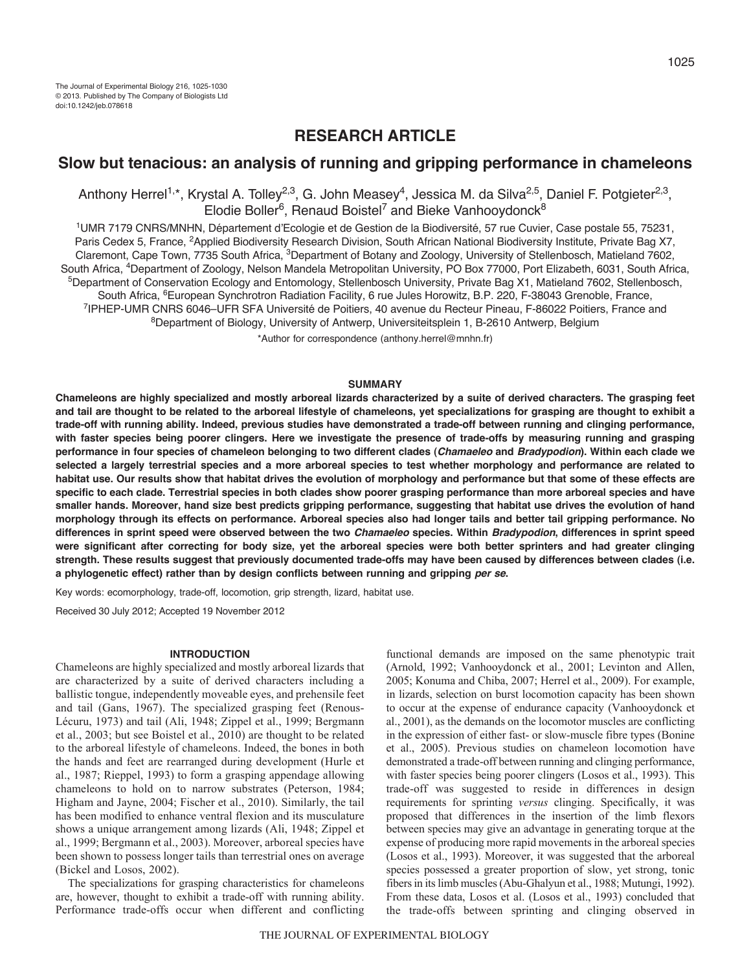# **RESEARCH ARTICLE**

# **Slow but tenacious: an analysis of running and gripping performance in chameleons**

Anthony Herrel<sup>1,\*</sup>, Krystal A. Tolley<sup>2,3</sup>, G. John Measey<sup>4</sup>, Jessica M. da Silva<sup>2,5</sup>, Daniel F. Potgieter<sup>2,3</sup>,  $E$ lodie Boller<sup>6</sup>, Renaud Boistel<sup>7</sup> and Bieke Vanhooydonck<sup>8</sup>

1UMR 7179 CNRS/MNHN, Département d'Ecologie et de Gestion de la Biodiversité, 57 rue Cuvier, Case postale 55, 75231, Paris Cedex 5, France, <sup>2</sup>Applied Biodiversity Research Division, South African National Biodiversity Institute, Private Bag X7, Claremont, Cape Town, 7735 South Africa, <sup>3</sup>Department of Botany and Zoology, University of Stellenbosch, Matieland 7602, South Africa, 4Department of Zoology, Nelson Mandela Metropolitan University, PO Box 77000, Port Elizabeth, 6031, South Africa, 5Department of Conservation Ecology and Entomology, Stellenbosch University, Private Bag X1, Matieland 7602, Stellenbosch, South Africa, <sup>6</sup>European Synchrotron Radiation Facility, 6 rue Jules Horowitz, B.P. 220, F-38043 Grenoble, France,<br><sup>7</sup>IPHEP-UMR CNRS 6046–UFR SFA Université de Poitiers, 40 avenue du Recteur Pineau, F-86022 Poitiers, Fran 8Department of Biology, University of Antwerp, Universiteitsplein 1, B-2610 Antwerp, Belgium

\*Author for correspondence (anthony.herrel@mnhn.fr)

#### **SUMMARY**

**Chameleons are highly specialized and mostly arboreal lizards characterized by a suite of derived characters. The grasping feet and tail are thought to be related to the arboreal lifestyle of chameleons, yet specializations for grasping are thought to exhibit a trade-off with running ability. Indeed, previous studies have demonstrated a trade-off between running and clinging performance, with faster species being poorer clingers. Here we investigate the presence of trade-offs by measuring running and grasping performance in four species of chameleon belonging to two different clades (***Chamaeleo* **and** *Bradypodion***). Within each clade we selected a largely terrestrial species and a more arboreal species to test whether morphology and performance are related to habitat use. Our results show that habitat drives the evolution of morphology and performance but that some of these effects are specific to each clade. Terrestrial species in both clades show poorer grasping performance than more arboreal species and have smaller hands. Moreover, hand size best predicts gripping performance, suggesting that habitat use drives the evolution of hand morphology through its effects on performance. Arboreal species also had longer tails and better tail gripping performance. No differences in sprint speed were observed between the two** *Chamaeleo* **species. Within** *Bradypodion***, differences in sprint speed were significant after correcting for body size, yet the arboreal species were both better sprinters and had greater clinging strength. These results suggest that previously documented trade-offs may have been caused by differences between clades (i.e.** a phylogenetic effect) rather than by design conflicts between running and gripping *per se*.

Key words: ecomorphology, trade-off, locomotion, grip strength, lizard, habitat use.

Received 30 July 2012; Accepted 19 November 2012

## **INTRODUCTION**

Chameleons are highly specialized and mostly arboreal lizards that are characterized by a suite of derived characters including a ballistic tongue, independently moveable eyes, and prehensile feet and tail (Gans, 1967). The specialized grasping feet (Renous-Lécuru, 1973) and tail (Ali, 1948; Zippel et al., 1999; Bergmann et al., 2003; but see Boistel et al., 2010) are thought to be related to the arboreal lifestyle of chameleons. Indeed, the bones in both the hands and feet are rearranged during development (Hurle et al., 1987; Rieppel, 1993) to form a grasping appendage allowing chameleons to hold on to narrow substrates (Peterson, 1984; Higham and Jayne, 2004; Fischer et al., 2010). Similarly, the tail has been modified to enhance ventral flexion and its musculature shows a unique arrangement among lizards (Ali, 1948; Zippel et al., 1999; Bergmann et al., 2003). Moreover, arboreal species have been shown to possess longer tails than terrestrial ones on average (Bickel and Losos, 2002).

The specializations for grasping characteristics for chameleons are, however, thought to exhibit a trade-off with running ability. Performance trade-offs occur when different and conflicting

functional demands are imposed on the same phenotypic trait (Arnold, 1992; Vanhooydonck et al., 2001; Levinton and Allen, 2005; Konuma and Chiba, 2007; Herrel et al., 2009). For example, in lizards, selection on burst locomotion capacity has been shown to occur at the expense of endurance capacity (Vanhooydonck et al., 2001), as the demands on the locomotor muscles are conflicting in the expression of either fast- or slow-muscle fibre types (Bonine et al., 2005). Previous studies on chameleon locomotion have demonstrated a trade-off between running and clinging performance, with faster species being poorer clingers (Losos et al., 1993). This trade-off was suggested to reside in differences in design requirements for sprinting *versus* clinging. Specifically, it was proposed that differences in the insertion of the limb flexors between species may give an advantage in generating torque at the expense of producing more rapid movements in the arboreal species (Losos et al., 1993). Moreover, it was suggested that the arboreal species possessed a greater proportion of slow, yet strong, tonic fibers in its limb muscles (Abu-Ghalyun et al., 1988; Mutungi, 1992). From these data, Losos et al. (Losos et al., 1993) concluded that the trade-offs between sprinting and clinging observed in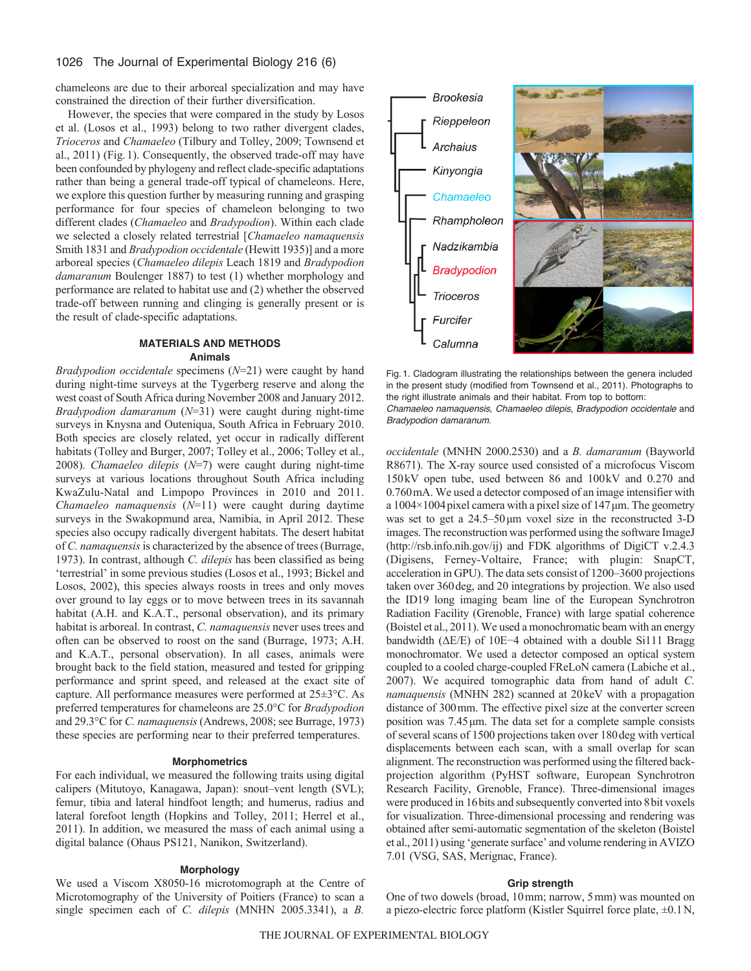chameleons are due to their arboreal specialization and may have constrained the direction of their further diversification.

However, the species that were compared in the study by Losos et al. (Losos et al., 1993) belong to two rather divergent clades, *Trioceros* and *Chamaeleo* (Tilbury and Tolley, 2009; Townsend et al., 2011) (Fig.1). Consequently, the observed trade-off may have been confounded by phylogeny and reflect clade-specific adaptations rather than being a general trade-off typical of chameleons. Here, we explore this question further by measuring running and grasping performance for four species of chameleon belonging to two different clades (*Chamaeleo* and *Bradypodion*). Within each clade we selected a closely related terrestrial [*Chamaeleo namaquensis* Smith 1831 and *Bradypodion occidentale* (Hewitt 1935)] and a more arboreal species (*Chamaeleo dilepis* Leach 1819 and *Bradypodion damaranum* Boulenger 1887) to test (1) whether morphology and performance are related to habitat use and (2) whether the observed trade-off between running and clinging is generally present or is the result of clade-specific adaptations.

# **MATERIALS AND METHODS Animals**

*Bradypodion occidentale* specimens (*N*=21) were caught by hand during night-time surveys at the Tygerberg reserve and along the west coast of South Africa during November 2008 and January 2012. *Bradypodion damaranum* (*N*=31) were caught during night-time surveys in Knysna and Outeniqua, South Africa in February 2010. Both species are closely related, yet occur in radically different habitats (Tolley and Burger, 2007; Tolley et al., 2006; Tolley et al., 2008). *Chamaeleo dilepis* (*N*=7) were caught during night-time surveys at various locations throughout South Africa including KwaZulu-Natal and Limpopo Provinces in 2010 and 2011. *Chamaeleo namaquensis* (*N*=11) were caught during daytime surveys in the Swakopmund area, Namibia, in April 2012. These species also occupy radically divergent habitats. The desert habitat of *C. namaquensis* is characterized by the absence of trees (Burrage, 1973). In contrast, although *C. dilepis* has been classified as being 'terrestrial' in some previous studies (Losos et al., 1993; Bickel and Losos, 2002), this species always roosts in trees and only moves over ground to lay eggs or to move between trees in its savannah habitat (A.H. and K.A.T., personal observation), and its primary habitat is arboreal. In contrast, *C. namaquensis* never uses trees and often can be observed to roost on the sand (Burrage, 1973; A.H. and K.A.T., personal observation). In all cases, animals were brought back to the field station, measured and tested for gripping performance and sprint speed, and released at the exact site of capture. All performance measures were performed at 25±3°C. As preferred temperatures for chameleons are 25.0°C for *Bradypodion* and 29.3°C for *C. namaquensis*(Andrews, 2008; see Burrage, 1973) these species are performing near to their preferred temperatures.

# **Morphometrics**

For each individual, we measured the following traits using digital calipers (Mitutoyo, Kanagawa, Japan): snout–vent length (SVL); femur, tibia and lateral hindfoot length; and humerus, radius and lateral forefoot length (Hopkins and Tolley, 2011; Herrel et al., 2011). In addition, we measured the mass of each animal using a digital balance (Ohaus PS121, Nanikon, Switzerland).

#### **Morphology**

We used a Viscom X8050-16 microtomograph at the Centre of Microtomography of the University of Poitiers (France) to scan a single specimen each of *C. dilepis* (MNHN 2005.3341), a *B.*



Fig. 1. Cladogram illustrating the relationships between the genera included in the present study (modified from Townsend et al., 2011). Photographs to the right illustrate animals and their habitat. From top to bottom: *Chamaeleo namaquensis*, *Chamaeleo dilepis*, *Bradypodion occidentale* and *Bradypodion damaranum*.

*occidentale* (MNHN 2000.2530) and a *B. damaranum* (Bayworld R8671). The X-ray source used consisted of a microfocus Viscom 150kV open tube, used between 86 and 100kV and 0.270 and 0.760mA. We used a detector composed of an image intensifier with a  $1004\times1004$  pixel camera with a pixel size of 147  $\mu$ m. The geometry was set to get a 24.5–50μm voxel size in the reconstructed 3-D images. The reconstruction was performed using the software ImageJ (http://rsb.info.nih.gov/ij) and FDK algorithms of DigiCT v.2.4.3 (Digisens, Ferney-Voltaire, France; with plugin: SnapCT, acceleration in GPU). The data sets consist of 1200–3600 projections taken over 360deg, and 20 integrations by projection. We also used the ID19 long imaging beam line of the European Synchrotron Radiation Facility (Grenoble, France) with large spatial coherence (Boistel et al., 2011). We used a monochromatic beam with an energy bandwidth (ΔE/E) of 10E−4 obtained with a double Si111 Bragg monochromator. We used a detector composed an optical system coupled to a cooled charge-coupled FReLoN camera (Labiche et al., 2007). We acquired tomographic data from hand of adult *C. namaquensis* (MNHN 282) scanned at 20keV with a propagation distance of 300mm. The effective pixel size at the converter screen position was 7.45μm. The data set for a complete sample consists of several scans of 1500 projections taken over 180deg with vertical displacements between each scan, with a small overlap for scan alignment. The reconstruction was performed using the filtered backprojection algorithm (PyHST software, European Synchrotron Research Facility, Grenoble, France). Three-dimensional images were produced in 16bits and subsequently converted into 8bit voxels for visualization. Three-dimensional processing and rendering was obtained after semi-automatic segmentation of the skeleton (Boistel et al., 2011) using 'generate surface' and volume rendering in AVIZO 7.01 (VSG, SAS, Merignac, France).

## **Grip strength**

One of two dowels (broad, 10mm; narrow, 5mm) was mounted on a piezo-electric force platform (Kistler Squirrel force plate, ±0.1N,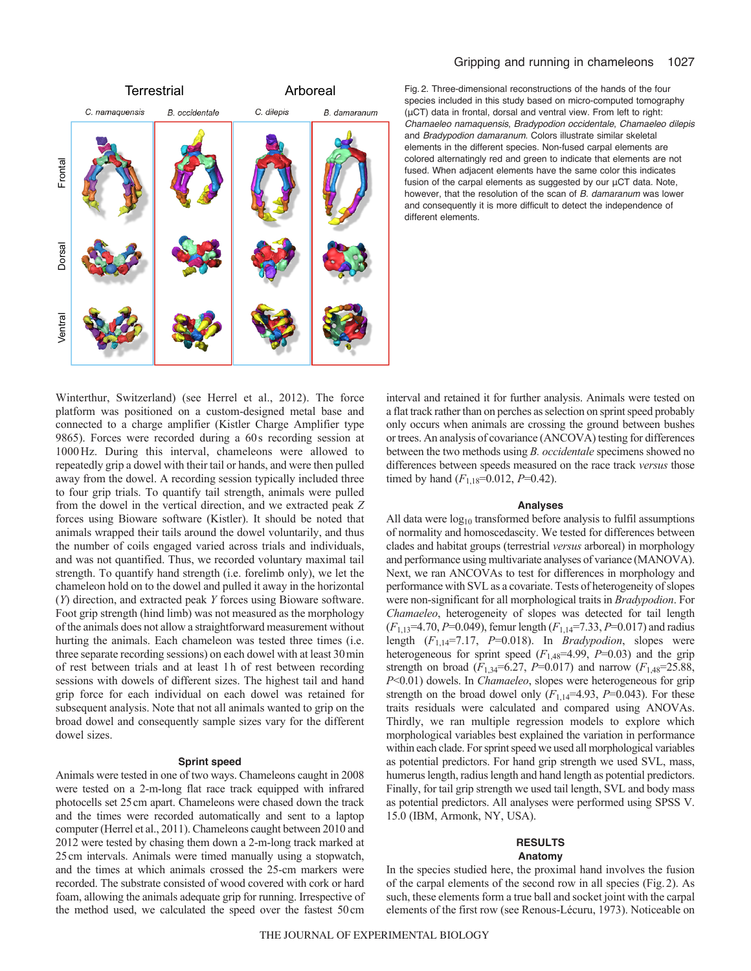



Fig. 2. Three-dimensional reconstructions of the hands of the four species included in this study based on micro-computed tomography (μCT) data in frontal, dorsal and ventral view. From left to right: *Chamaeleo namaquensis*, *Bradypodion occidentale*, *Chamaeleo dilepis* and *Bradypodion damaranum*. Colors illustrate similar skeletal elements in the different species. Non-fused carpal elements are colored alternatingly red and green to indicate that elements are not fused. When adjacent elements have the same color this indicates fusion of the carpal elements as suggested by our μCT data. Note, however, that the resolution of the scan of *B. damaranum* was lower and consequently it is more difficult to detect the independence of different elements.

Winterthur, Switzerland) (see Herrel et al., 2012). The force platform was positioned on a custom-designed metal base and connected to a charge amplifier (Kistler Charge Amplifier type 9865). Forces were recorded during a 60s recording session at 1000Hz. During this interval, chameleons were allowed to repeatedly grip a dowel with their tail or hands, and were then pulled away from the dowel. A recording session typically included three to four grip trials. To quantify tail strength, animals were pulled from the dowel in the vertical direction, and we extracted peak *Z* forces using Bioware software (Kistler). It should be noted that animals wrapped their tails around the dowel voluntarily, and thus the number of coils engaged varied across trials and individuals, and was not quantified. Thus, we recorded voluntary maximal tail strength. To quantify hand strength (i.e. forelimb only), we let the chameleon hold on to the dowel and pulled it away in the horizontal (*Y*) direction, and extracted peak *Y* forces using Bioware software. Foot grip strength (hind limb) was not measured as the morphology of the animals does not allow a straightforward measurement without hurting the animals. Each chameleon was tested three times (i.e. three separate recording sessions) on each dowel with at least 30min of rest between trials and at least 1h of rest between recording sessions with dowels of different sizes. The highest tail and hand grip force for each individual on each dowel was retained for subsequent analysis. Note that not all animals wanted to grip on the broad dowel and consequently sample sizes vary for the different dowel sizes.

### **Sprint speed**

Animals were tested in one of two ways. Chameleons caught in 2008 were tested on a 2-m-long flat race track equipped with infrared photocells set 25cm apart. Chameleons were chased down the track and the times were recorded automatically and sent to a laptop computer (Herrel et al., 2011). Chameleons caught between 2010 and 2012 were tested by chasing them down a 2-m-long track marked at 25cm intervals. Animals were timed manually using a stopwatch, and the times at which animals crossed the 25-cm markers were recorded. The substrate consisted of wood covered with cork or hard foam, allowing the animals adequate grip for running. Irrespective of the method used, we calculated the speed over the fastest 50cm interval and retained it for further analysis. Animals were tested on a flat track rather than on perches as selection on sprint speed probably only occurs when animals are crossing the ground between bushes or trees. An analysis of covariance (ANCOVA) testing for differences between the two methods using *B. occidentale* specimens showed no differences between speeds measured on the race track *versus* those timed by hand  $(F_{1,18}=0.012, P=0.42)$ .

### **Analyses**

All data were  $log_{10}$  transformed before analysis to fulfil assumptions of normality and homoscedascity. We tested for differences between clades and habitat groups (terrestrial *versus* arboreal) in morphology and performance using multivariate analyses of variance (MANOVA). Next, we ran ANCOVAs to test for differences in morphology and performance with SVL as a covariate. Tests of heterogeneity of slopes were non-significant for all morphological traits in *Bradypodion*. For *Chamaeleo*, heterogeneity of slopes was detected for tail length (*F*1,13=4.70, *P*=0.049), femur length (*F*1,14=7.33, *P*=0.017) and radius length (*F*1,14=7.17, *P*=0.018). In *Bradypodion*, slopes were heterogeneous for sprint speed  $(F_{1,48}=4.99, P=0.03)$  and the grip strength on broad ( $F_{1,34}$ =6.27, *P*=0.017) and narrow ( $F_{1,48}$ =25.88, *P*<0.01) dowels. In *Chamaeleo*, slopes were heterogeneous for grip strength on the broad dowel only  $(F_{1,14}=4.93, P=0.043)$ . For these traits residuals were calculated and compared using ANOVAs. Thirdly, we ran multiple regression models to explore which morphological variables best explained the variation in performance within each clade. For sprint speed we used all morphological variables as potential predictors. For hand grip strength we used SVL, mass, humerus length, radius length and hand length as potential predictors. Finally, for tail grip strength we used tail length, SVL and body mass as potential predictors. All analyses were performed using SPSS V. 15.0 (IBM, Armonk, NY, USA).

## **RESULTS Anatomy**

In the species studied here, the proximal hand involves the fusion of the carpal elements of the second row in all species (Fig.2). As such, these elements form a true ball and socket joint with the carpal elements of the first row (see Renous-Lécuru, 1973). Noticeable on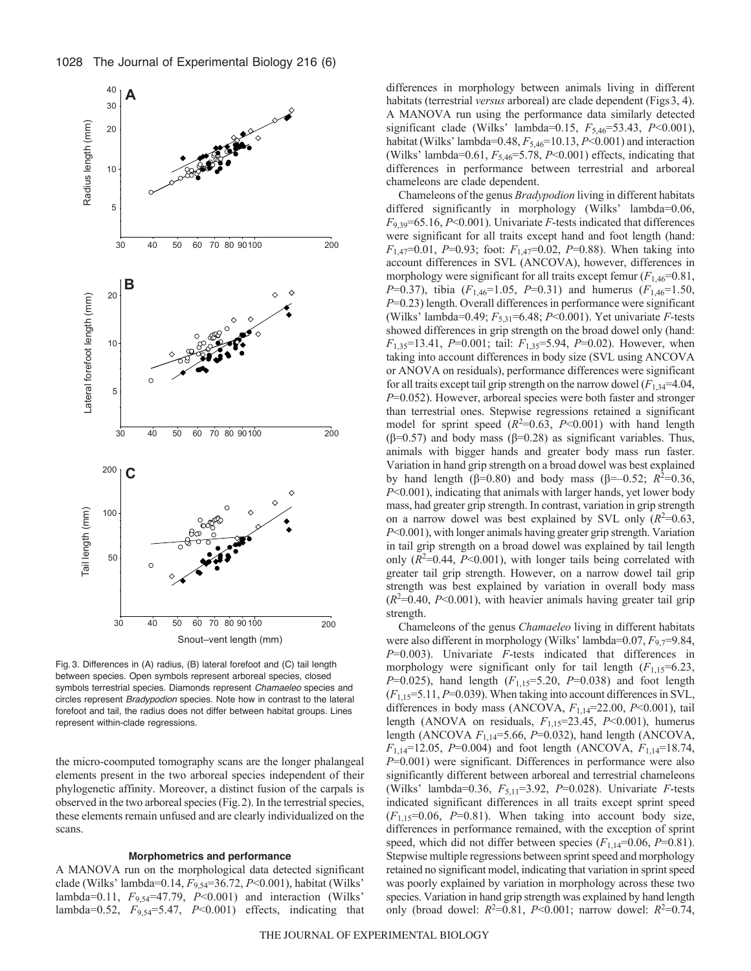

Fig. 3. Differences in (A) radius, (B) lateral forefoot and (C) tail length between species. Open symbols represent arboreal species, closed symbols terrestrial species. Diamonds represent *Chamaeleo* species and circles represent *Bradypodion* species. Note how in contrast to the lateral forefoot and tail, the radius does not differ between habitat groups. Lines represent within-clade regressions.

the micro-coomputed tomography scans are the longer phalangeal elements present in the two arboreal species independent of their phylogenetic affinity. Moreover, a distinct fusion of the carpals is observed in the two arboreal species (Fig.2). In the terrestrial species, these elements remain unfused and are clearly individualized on the scans.

#### **Morphometrics and performance**

A MANOVA run on the morphological data detected significant clade (Wilks' lambda=0.14, *F*9,54=36.72, *P*<0.001), habitat (Wilks' lambda=0.11, *F*9,54=47.79, *P*<0.001) and interaction (Wilks' lambda=0.52,  $F_{9,54}$ =5.47,  $P<0.001$ ) effects, indicating that differences in morphology between animals living in different habitats (terrestrial *versus* arboreal) are clade dependent (Figs3, 4). A MANOVA run using the performance data similarly detected significant clade (Wilks' lambda=0.15, *F*5,46=53.43, *P*<0.001), habitat (Wilks' lambda=0.48,  $F_{5,46}$ =10.13, *P*<0.001) and interaction (Wilks' lambda=0.61, *F*5,46=5.78, *P*<0.001) effects, indicating that differences in performance between terrestrial and arboreal chameleons are clade dependent.

Chameleons of the genus *Bradypodion* living in different habitats differed significantly in morphology (Wilks' lambda=0.06,  $F_{9,39}$ =65.16, *P*<0.001). Univariate *F*-tests indicated that differences were significant for all traits except hand and foot length (hand: *F*1,47=0.01, *P*=0.93; foot: *F*1,47=0.02, *P*=0.88). When taking into account differences in SVL (ANCOVA), however, differences in morphology were significant for all traits except femur  $(F_{1,46}=0.81)$ , *P*=0.37), tibia (*F*1,46=1.05, *P*=0.31) and humerus (*F*1,46=1.50, *P*=0.23) length. Overall differences in performance were significant (Wilks' lambda=0.49; *F*5,31=6.48; *P*<0.001). Yet univariate *F*-tests showed differences in grip strength on the broad dowel only (hand: *F*1,35=13.41, *P*=0.001; tail: *F*1,35=5.94, *P*=0.02). However, when taking into account differences in body size (SVL using ANCOVA or ANOVA on residuals), performance differences were significant for all traits except tail grip strength on the narrow dowel  $(F_{1,34}=4.04,$ *P*=0.052). However, arboreal species were both faster and stronger than terrestrial ones. Stepwise regressions retained a significant model for sprint speed  $(R^2=0.63, P<0.001)$  with hand length (β=0.57) and body mass (β=0.28) as significant variables. Thus, animals with bigger hands and greater body mass run faster. Variation in hand grip strength on a broad dowel was best explained by hand length  $(\beta=0.80)$  and body mass  $(\beta=-0.52; R^2=0.36)$ , *P*<0.001), indicating that animals with larger hands, yet lower body mass, had greater grip strength. In contrast, variation in grip strength on a narrow dowel was best explained by SVL only  $(R^2=0.63,$ *P*<0.001), with longer animals having greater grip strength. Variation in tail grip strength on a broad dowel was explained by tail length only  $(R^2=0.44, P<0.001)$ , with longer tails being correlated with greater tail grip strength. However, on a narrow dowel tail grip strength was best explained by variation in overall body mass  $(R<sup>2</sup>=0.40, P<0.001)$ , with heavier animals having greater tail grip strength.

Chameleons of the genus *Chamaeleo* living in different habitats were also different in morphology (Wilks' lambda=0.07,  $F_{9,7}$ =9.84, *P*=0.003). Univariate *F*-tests indicated that differences in morphology were significant only for tail length  $(F_{1,15}=6.23)$ , *P*=0.025), hand length (*F*1,15=5.20, *P*=0.038) and foot length (*F*1,15=5.11, *P*=0.039). When taking into account differences in SVL, differences in body mass (ANCOVA, *F*1,14=22.00, *P*<0.001), tail length (ANOVA on residuals, *F*1,15=23.45, *P*<0.001), humerus length (ANCOVA *F*1,14=5.66, *P*=0.032), hand length (ANCOVA, *F*1,14=12.05, *P*=0.004) and foot length (ANCOVA, *F*1,14=18.74, *P*=0.001) were significant. Differences in performance were also significantly different between arboreal and terrestrial chameleons (Wilks' lambda=0.36,  $F_{5,11}$ =3.92, P=0.028). Univariate *F*-tests indicated significant differences in all traits except sprint speed  $(F_{1,15}=0.06, P=0.81)$ . When taking into account body size, differences in performance remained, with the exception of sprint speed, which did not differ between species ( $F_{1,14}$ =0.06, *P*=0.81). Stepwise multiple regressions between sprint speed and morphology retained no significant model, indicating that variation in sprint speed was poorly explained by variation in morphology across these two species. Variation in hand grip strength was explained by hand length only (broad dowel:  $R^2 = 0.81$ ,  $P < 0.001$ ; narrow dowel:  $R^2 = 0.74$ ,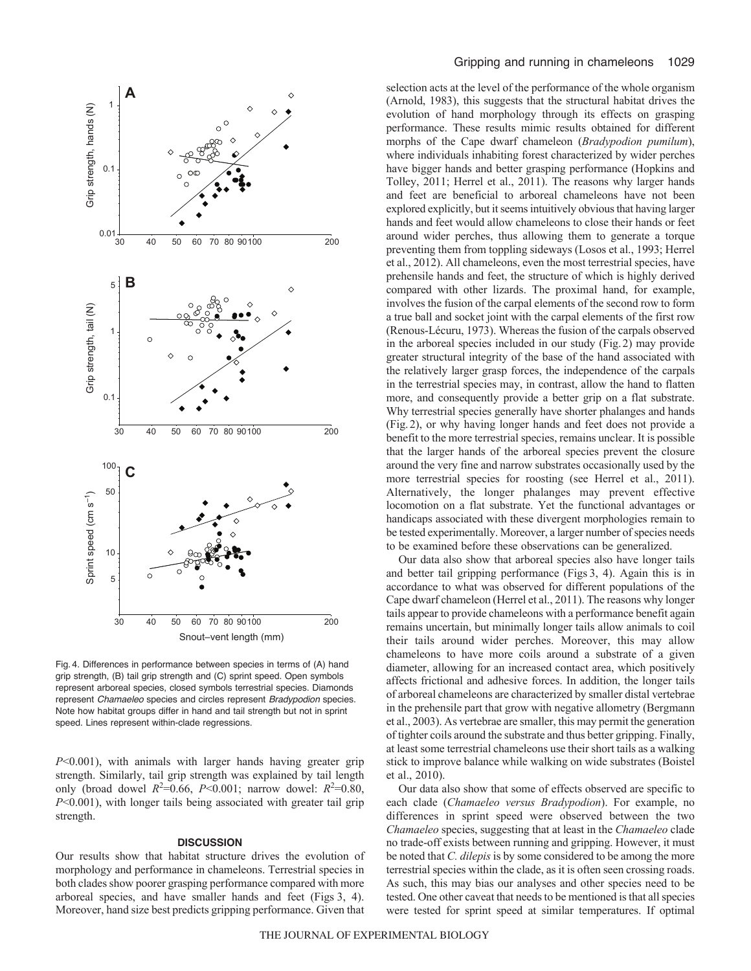

Fig. 4. Differences in performance between species in terms of (A) hand grip strength, (B) tail grip strength and (C) sprint speed. Open symbols represent arboreal species, closed symbols terrestrial species. Diamonds represent *Chamaeleo* species and circles represent *Bradypodion* species. Note how habitat groups differ in hand and tail strength but not in sprint speed. Lines represent within-clade regressions.

*P*<0.001), with animals with larger hands having greater grip strength. Similarly, tail grip strength was explained by tail length only (broad dowel  $R^2 = 0.66$ ,  $P < 0.001$ ; narrow dowel:  $R^2 = 0.80$ , *P*<0.001), with longer tails being associated with greater tail grip strength.

# **DISCUSSION**

Our results show that habitat structure drives the evolution of morphology and performance in chameleons. Terrestrial species in both clades show poorer grasping performance compared with more arboreal species, and have smaller hands and feet (Figs 3, 4). Moreover, hand size best predicts gripping performance. Given that selection acts at the level of the performance of the whole organism (Arnold, 1983), this suggests that the structural habitat drives the evolution of hand morphology through its effects on grasping performance. These results mimic results obtained for different morphs of the Cape dwarf chameleon (*Bradypodion pumilum*), where individuals inhabiting forest characterized by wider perches have bigger hands and better grasping performance (Hopkins and Tolley, 2011; Herrel et al., 2011). The reasons why larger hands and feet are beneficial to arboreal chameleons have not been explored explicitly, but it seems intuitively obvious that having larger hands and feet would allow chameleons to close their hands or feet around wider perches, thus allowing them to generate a torque preventing them from toppling sideways (Losos et al., 1993; Herrel et al., 2012). All chameleons, even the most terrestrial species, have prehensile hands and feet, the structure of which is highly derived compared with other lizards. The proximal hand, for example, involves the fusion of the carpal elements of the second row to form a true ball and socket joint with the carpal elements of the first row (Renous-Lécuru, 1973). Whereas the fusion of the carpals observed in the arboreal species included in our study (Fig.2) may provide greater structural integrity of the base of the hand associated with the relatively larger grasp forces, the independence of the carpals in the terrestrial species may, in contrast, allow the hand to flatten more, and consequently provide a better grip on a flat substrate. Why terrestrial species generally have shorter phalanges and hands (Fig.2), or why having longer hands and feet does not provide a benefit to the more terrestrial species, remains unclear. It is possible that the larger hands of the arboreal species prevent the closure around the very fine and narrow substrates occasionally used by the more terrestrial species for roosting (see Herrel et al., 2011). Alternatively, the longer phalanges may prevent effective locomotion on a flat substrate. Yet the functional advantages or handicaps associated with these divergent morphologies remain to be tested experimentally. Moreover, a larger number of species needs to be examined before these observations can be generalized.

Our data also show that arboreal species also have longer tails and better tail gripping performance (Figs 3, 4). Again this is in accordance to what was observed for different populations of the Cape dwarf chameleon (Herrel et al., 2011). The reasons why longer tails appear to provide chameleons with a performance benefit again remains uncertain, but minimally longer tails allow animals to coil their tails around wider perches. Moreover, this may allow chameleons to have more coils around a substrate of a given diameter, allowing for an increased contact area, which positively affects frictional and adhesive forces. In addition, the longer tails of arboreal chameleons are characterized by smaller distal vertebrae in the prehensile part that grow with negative allometry (Bergmann et al., 2003). As vertebrae are smaller, this may permit the generation of tighter coils around the substrate and thus better gripping. Finally, at least some terrestrial chameleons use their short tails as a walking stick to improve balance while walking on wide substrates (Boistel et al., 2010).

Our data also show that some of effects observed are specific to each clade (*Chamaeleo versus Bradypodion*). For example, no differences in sprint speed were observed between the two *Chamaeleo* species, suggesting that at least in the *Chamaeleo* clade no trade-off exists between running and gripping. However, it must be noted that *C. dilepis* is by some considered to be among the more terrestrial species within the clade, as it is often seen crossing roads. As such, this may bias our analyses and other species need to be tested. One other caveat that needs to be mentioned is that all species were tested for sprint speed at similar temperatures. If optimal